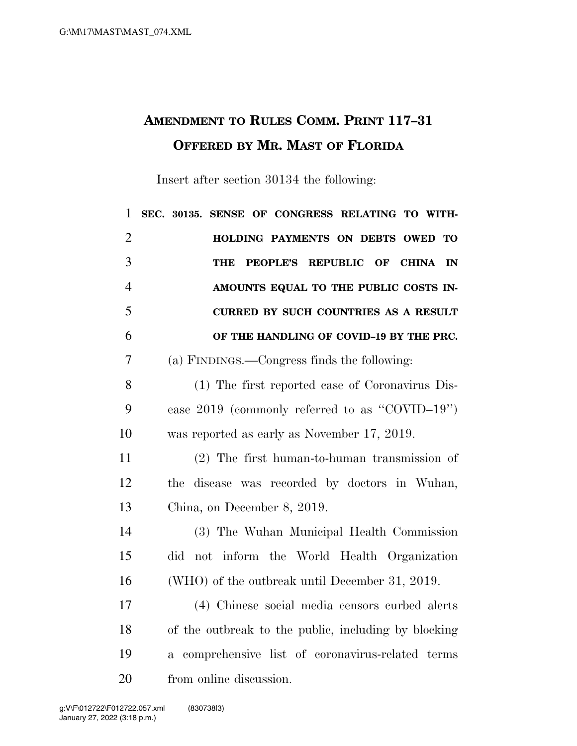## **AMENDMENT TO RULES COMM. PRINT 117–31 OFFERED BY MR. MAST OF FLORIDA**

Insert after section 30134 the following:

| $\mathbf{1}$   | SENSE OF CONGRESS RELATING TO WITH-<br>SEC. 30135.                    |
|----------------|-----------------------------------------------------------------------|
| $\overline{2}$ | HOLDING PAYMENTS ON DEBTS OWED<br>TО                                  |
| 3              | <b>PEOPLE'S</b><br><b>REPUBLIC</b><br>OF<br><b>CHINA</b><br>THE<br>IN |
| $\overline{4}$ | AMOUNTS EQUAL TO THE PUBLIC COSTS IN-                                 |
| 5              | <b>CURRED BY SUCH COUNTRIES AS A RESULT</b>                           |
| 6              | OF THE HANDLING OF COVID-19 BY THE PRC.                               |
| $\overline{7}$ | (a) FINDINGS.—Congress finds the following:                           |
| 8              | (1) The first reported case of Coronavirus Dis-                       |
| 9              | ease $2019$ (commonly referred to as "COVID-19")                      |
| 10             | was reported as early as November 17, 2019.                           |
| 11             | $(2)$ The first human-to-human transmission of                        |
| 12             | disease was recorded by doctors in Wuhan,<br>the                      |
| 13             | China, on December 8, 2019.                                           |
| 14             | (3) The Wuhan Municipal Health Commission                             |
| 15             | not inform the World Health Organization<br>did                       |
| 16             | (WHO) of the outbreak until December 31, 2019.                        |
| 17             | (4) Chinese social media censors curbed alerts                        |
| 18             | of the outbreak to the public, including by blocking                  |
| 19             | comprehensive list of coronavirus-related terms<br>$\mathbf{a}$       |
| 20             | from online discussion.                                               |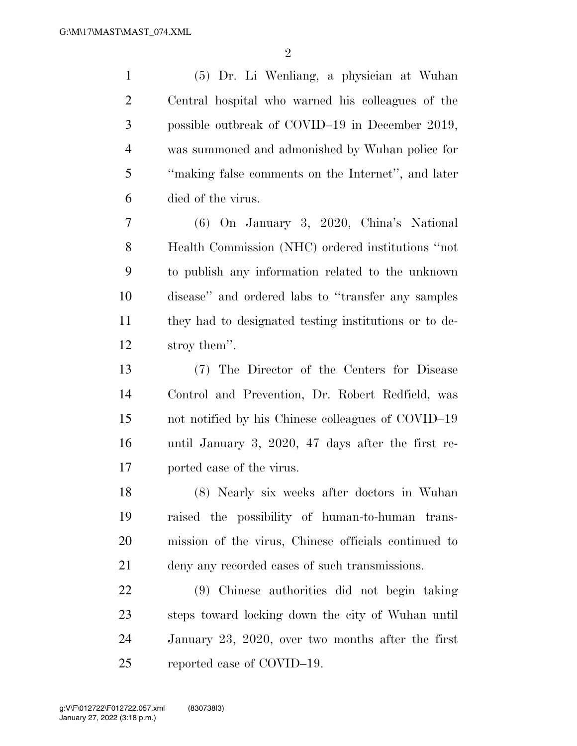(5) Dr. Li Wenliang, a physician at Wuhan Central hospital who warned his colleagues of the possible outbreak of COVID–19 in December 2019, was summoned and admonished by Wuhan police for ''making false comments on the Internet'', and later died of the virus.

 (6) On January 3, 2020, China's National Health Commission (NHC) ordered institutions ''not to publish any information related to the unknown disease'' and ordered labs to ''transfer any samples they had to designated testing institutions or to de-stroy them''.

 (7) The Director of the Centers for Disease Control and Prevention, Dr. Robert Redfield, was not notified by his Chinese colleagues of COVID–19 until January 3, 2020, 47 days after the first re-ported case of the virus.

 (8) Nearly six weeks after doctors in Wuhan raised the possibility of human-to-human trans- mission of the virus, Chinese officials continued to deny any recorded cases of such transmissions.

 (9) Chinese authorities did not begin taking steps toward locking down the city of Wuhan until January 23, 2020, over two months after the first reported case of COVID–19.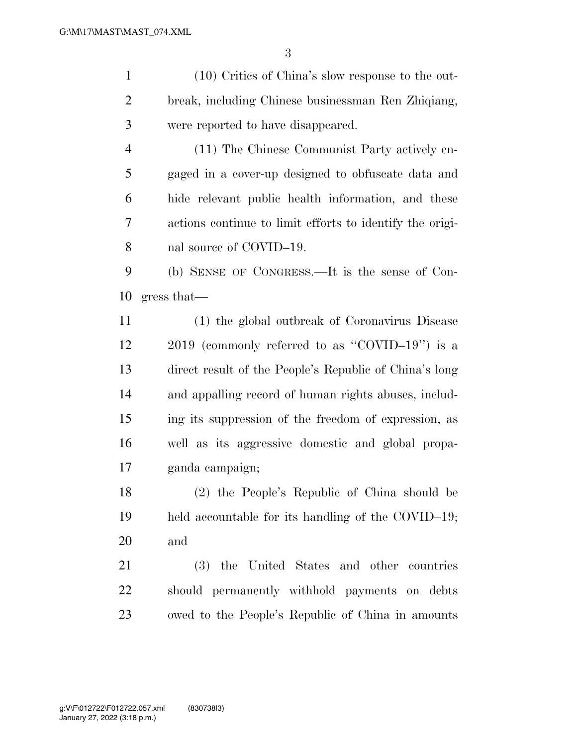(10) Critics of China's slow response to the out- break, including Chinese businessman Ren Zhiqiang, were reported to have disappeared. (11) The Chinese Communist Party actively en- gaged in a cover-up designed to obfuscate data and hide relevant public health information, and these actions continue to limit efforts to identify the origi-8 nal source of COVID–19. (b) SENSE OF CONGRESS.—It is the sense of Con- gress that— (1) the global outbreak of Coronavirus Disease 2019 (commonly referred to as ''COVID–19'') is a direct result of the People's Republic of China's long and appalling record of human rights abuses, includ- ing its suppression of the freedom of expression, as well as its aggressive domestic and global propa- ganda campaign; (2) the People's Republic of China should be held accountable for its handling of the COVID–19; and

 (3) the United States and other countries should permanently withhold payments on debts owed to the People's Republic of China in amounts